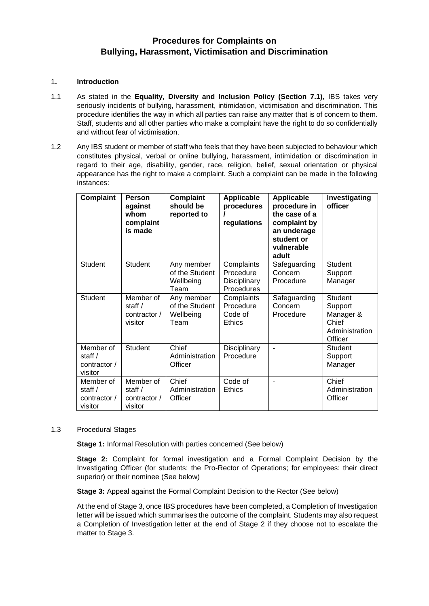# **Procedures for Complaints on Bullying, Harassment, Victimisation and Discrimination**

#### 1**. Introduction**

- 1.1 As stated in the **Equality, Diversity and Inclusion Policy (Section 7.1),** IBS takes very seriously incidents of bullying, harassment, intimidation, victimisation and discrimination. This procedure identifies the way in which all parties can raise any matter that is of concern to them. Staff, students and all other parties who make a complaint have the right to do so confidentially and without fear of victimisation.
- 1.2 Any IBS student or member of staff who feels that they have been subjected to behaviour which constitutes physical, verbal or online bullying, harassment, intimidation or discrimination in regard to their age, disability, gender, race, religion, belief, sexual orientation or physical appearance has the right to make a complaint. Such a complaint can be made in the following instances:

| <b>Complaint</b>                                  | <b>Person</b><br>against<br>whom<br>complaint<br>is made | <b>Complaint</b><br>should be<br>reported to      | <b>Applicable</b><br>procedures<br>regulations        | <b>Applicable</b><br>procedure in<br>the case of a<br>complaint by<br>an underage<br>student or<br>vulnerable<br>adult | Investigating<br>officer                                              |
|---------------------------------------------------|----------------------------------------------------------|---------------------------------------------------|-------------------------------------------------------|------------------------------------------------------------------------------------------------------------------------|-----------------------------------------------------------------------|
| <b>Student</b>                                    | <b>Student</b>                                           | Any member<br>of the Student<br>Wellbeing<br>Team | Complaints<br>Procedure<br>Disciplinary<br>Procedures | Safeguarding<br>Concern<br>Procedure                                                                                   | Student<br>Support<br>Manager                                         |
| Student                                           | Member of<br>staff/<br>contractor /<br>visitor           | Any member<br>of the Student<br>Wellbeing<br>Team | Complaints<br>Procedure<br>Code of<br>Ethics          | Safeguarding<br>Concern<br>Procedure                                                                                   | Student<br>Support<br>Manager &<br>Chief<br>Administration<br>Officer |
| Member of<br>staff /<br>contractor /<br>visitor   | <b>Student</b>                                           | Chief<br>Administration<br>Officer                | Disciplinary<br>Procedure                             |                                                                                                                        | Student<br>Support<br>Manager                                         |
| Member of<br>staff $/$<br>contractor /<br>visitor | Member of<br>staff /<br>contractor /<br>visitor          | Chief<br>Administration<br>Officer                | Code of<br><b>Ethics</b>                              |                                                                                                                        | Chief<br>Administration<br>Officer                                    |

#### 1.3 Procedural Stages

**Stage 1:** Informal Resolution with parties concerned (See below)

**Stage 2:** Complaint for formal investigation and a Formal Complaint Decision by the Investigating Officer (for students: the Pro-Rector of Operations; for employees: their direct superior) or their nominee (See below)

**Stage 3:** Appeal against the Formal Complaint Decision to the Rector (See below)

At the end of Stage 3, once IBS procedures have been completed, a Completion of Investigation letter will be issued which summarises the outcome of the complaint. Students may also request a Completion of Investigation letter at the end of Stage 2 if they choose not to escalate the matter to Stage 3.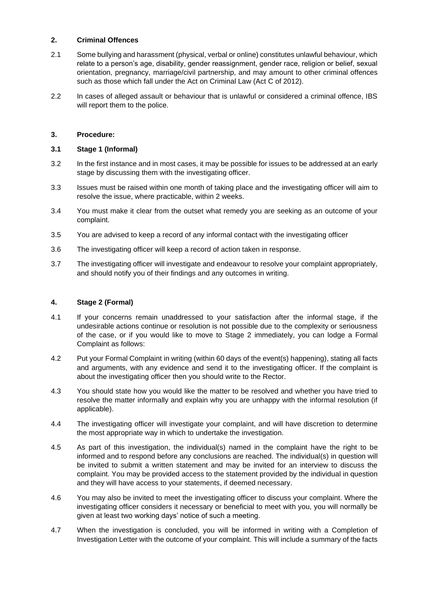## **2. Criminal Offences**

- 2.1 Some bullying and harassment (physical, verbal or online) constitutes unlawful behaviour, which relate to a person's age, disability, gender reassignment, gender race, religion or belief, sexual orientation, pregnancy, marriage/civil partnership, and may amount to other criminal offences such as those which fall under the Act on Criminal Law (Act C of 2012).
- 2.2 In cases of alleged assault or behaviour that is unlawful or considered a criminal offence, IBS will report them to the police.

## **3. Procedure:**

## **3.1 Stage 1 (Informal)**

- 3.2 In the first instance and in most cases, it may be possible for issues to be addressed at an early stage by discussing them with the investigating officer.
- 3.3 Issues must be raised within one month of taking place and the investigating officer will aim to resolve the issue, where practicable, within 2 weeks.
- 3.4 You must make it clear from the outset what remedy you are seeking as an outcome of your complaint.
- 3.5 You are advised to keep a record of any informal contact with the investigating officer
- 3.6 The investigating officer will keep a record of action taken in response.
- 3.7 The investigating officer will investigate and endeavour to resolve your complaint appropriately, and should notify you of their findings and any outcomes in writing.

## **4. Stage 2 (Formal)**

- 4.1 If your concerns remain unaddressed to your satisfaction after the informal stage, if the undesirable actions continue or resolution is not possible due to the complexity or seriousness of the case, or if you would like to move to Stage 2 immediately, you can lodge a Formal Complaint as follows:
- 4.2 Put your Formal Complaint in writing (within 60 days of the event(s) happening), stating all facts and arguments, with any evidence and send it to the investigating officer. If the complaint is about the investigating officer then you should write to the Rector.
- 4.3 You should state how you would like the matter to be resolved and whether you have tried to resolve the matter informally and explain why you are unhappy with the informal resolution (if applicable).
- 4.4 The investigating officer will investigate your complaint, and will have discretion to determine the most appropriate way in which to undertake the investigation.
- 4.5 As part of this investigation, the individual(s) named in the complaint have the right to be informed and to respond before any conclusions are reached. The individual(s) in question will be invited to submit a written statement and may be invited for an interview to discuss the complaint. You may be provided access to the statement provided by the individual in question and they will have access to your statements, if deemed necessary.
- 4.6 You may also be invited to meet the investigating officer to discuss your complaint. Where the investigating officer considers it necessary or beneficial to meet with you, you will normally be given at least two working days' notice of such a meeting.
- 4.7 When the investigation is concluded, you will be informed in writing with a Completion of Investigation Letter with the outcome of your complaint. This will include a summary of the facts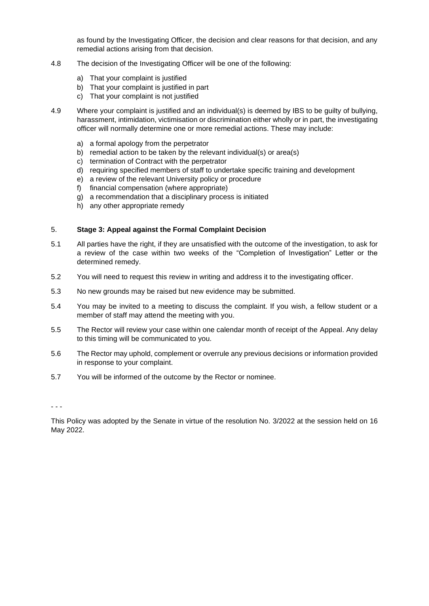as found by the Investigating Officer, the decision and clear reasons for that decision, and any remedial actions arising from that decision.

- 4.8 The decision of the Investigating Officer will be one of the following:
	- a) That your complaint is justified
	- b) That your complaint is justified in part
	- c) That your complaint is not justified
- 4.9 Where your complaint is justified and an individual(s) is deemed by IBS to be guilty of bullying, harassment, intimidation, victimisation or discrimination either wholly or in part, the investigating officer will normally determine one or more remedial actions. These may include:
	- a) a formal apology from the perpetrator
	- b) remedial action to be taken by the relevant individual(s) or area(s)
	- c) termination of Contract with the perpetrator
	- d) requiring specified members of staff to undertake specific training and development
	- e) a review of the relevant University policy or procedure
	- f) financial compensation (where appropriate)
	- g) a recommendation that a disciplinary process is initiated
	- h) any other appropriate remedy

#### 5. **Stage 3: Appeal against the Formal Complaint Decision**

- 5.1 All parties have the right, if they are unsatisfied with the outcome of the investigation, to ask for a review of the case within two weeks of the "Completion of Investigation" Letter or the determined remedy.
- 5.2 You will need to request this review in writing and address it to the investigating officer.
- 5.3 No new grounds may be raised but new evidence may be submitted.
- 5.4 You may be invited to a meeting to discuss the complaint. If you wish, a fellow student or a member of staff may attend the meeting with you.
- 5.5 The Rector will review your case within one calendar month of receipt of the Appeal. Any delay to this timing will be communicated to you.
- 5.6 The Rector may uphold, complement or overrule any previous decisions or information provided in response to your complaint.
- 5.7 You will be informed of the outcome by the Rector or nominee.

- - -

This Policy was adopted by the Senate in virtue of the resolution No. 3/2022 at the session held on 16 May 2022.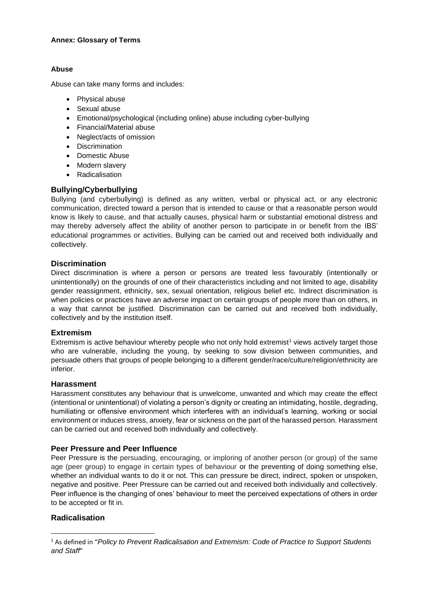#### **Annex: Glossary of Terms**

#### **Abuse**

Abuse can take many forms and includes:

- Physical abuse
- Sexual abuse
- Emotional/psychological (including online) abuse including cyber-bullying
- Financial/Material abuse
- Neglect/acts of omission
- Discrimination
- Domestic Abuse
- Modern slavery
- Radicalisation

## **Bullying/Cyberbullying**

Bullying (and cyberbullying) is defined as any written, verbal or physical act, or any electronic communication, directed toward a person that is intended to cause or that a reasonable person would know is likely to cause, and that actually causes, physical harm or substantial emotional distress and may thereby adversely affect the ability of another person to participate in or benefit from the IBS' educational programmes or activities. Bullying can be carried out and received both individually and collectively.

## **Discrimination**

Direct discrimination is where a person or persons are treated less favourably (intentionally or unintentionally) on the grounds of one of their characteristics including and not limited to age, disability gender reassignment, ethnicity, sex, sexual orientation, religious belief etc. Indirect discrimination is when policies or practices have an adverse impact on certain groups of people more than on others, in a way that cannot be justified. Discrimination can be carried out and received both individually, collectively and by the institution itself.

#### **Extremism**

Extremism is active behaviour whereby people who not only hold extremist<sup>1</sup> views actively target those who are vulnerable, including the young, by seeking to sow division between communities, and persuade others that groups of people belonging to a different gender/race/culture/religion/ethnicity are inferior.

#### **Harassment**

Harassment constitutes any behaviour that is unwelcome, unwanted and which may create the effect (intentional or unintentional) of violating a person's dignity or creating an intimidating, hostile, degrading, humiliating or offensive environment which interferes with an individual's learning, working or social environment or induces stress, anxiety, fear or sickness on the part of the harassed person. Harassment can be carried out and received both individually and collectively.

#### **Peer Pressure and Peer Influence**

Peer Pressure is the persuading, encouraging, or imploring of another person (or group) of the same age (peer group) to engage in certain types of behaviour or the preventing of doing something else, whether an individual wants to do it or not. This can pressure be direct, indirect, spoken or unspoken, negative and positive. Peer Pressure can be carried out and received both individually and collectively. Peer influence is the changing of ones' behaviour to meet the perceived expectations of others in order to be accepted or fit in.

## **Radicalisation**

<sup>1</sup> As defined in "*Policy to Prevent Radicalisation and Extremism: Code of Practice to Support Students and Staff*"